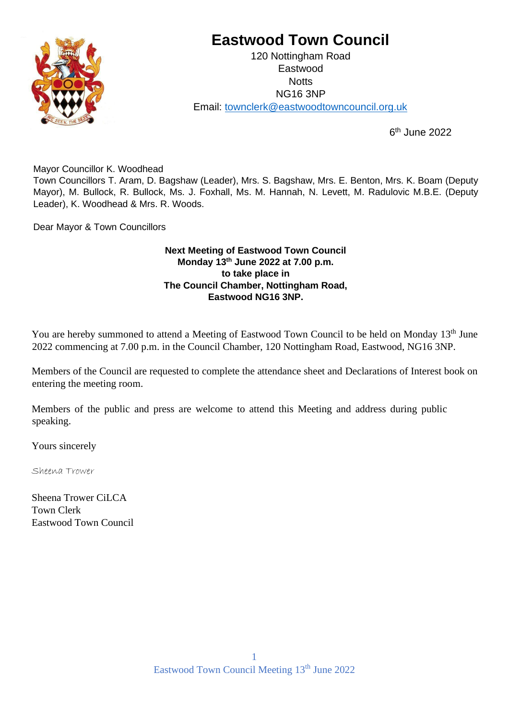

# **Eastwood Town Council**

120 Nottingham Road Eastwood **Notts** NG16 3NP Email: townclerk@eastwoodtowncouncil.org.uk

> 6  $6<sup>th</sup>$  June 2022

Mayor Councillor K. Woodhead

Town Councillors T. Aram, D. Bagshaw (Leader), Mrs. S. Bagshaw, Mrs. E. Benton, Mrs. K. Boam (Deputy Mayor), M. Bullock, R. Bullock, Ms. J. Foxhall, Ms. M. Hannah, N. Levett, M. Radulovic M.B.E. (Deputy Leader), K. Woodhead & Mrs. R. Woods.

Dear Mayor & Town Councillors

# **Next Meeting of Eastwood Town Council Monday 13 th June 2022 at 7.00 p.m. to take place in The Council Chamber, Nottingham Road, Eastwood NG16 3NP.**

You are hereby summoned to attend a Meeting of Eastwood Town Council to be held on Monday 13<sup>th</sup> June 2022 commencing at 7.00 p.m. in the Council Chamber, 120 Nottingham Road, Eastwood, NG16 3NP.

Members of the Council are requested to complete the attendance sheet and Declarations of Interest book on entering the meeting room.

Members of the public and press are welcome to attend this Meeting and address during public speaking.

Yours sincerely

Sheena Trower

Sheena Trower CiLCA Town Clerk Eastwood Town Council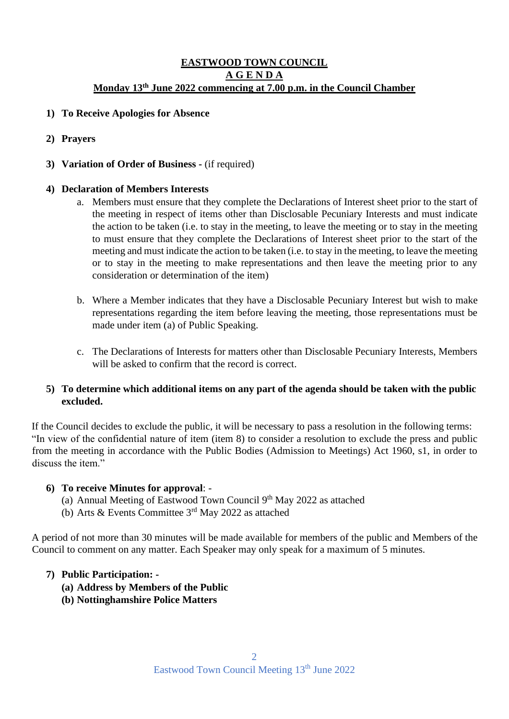# **EASTWOOD TOWN COUNCIL A G E N D A Monday 13 th June 2022 commencing at 7.00 p.m. in the Council Chamber**

- **1) To Receive Apologies for Absence**
- **2) Prayers**
- **3) Variation of Order of Business -** (if required)

## **4) Declaration of Members Interests**

- a. Members must ensure that they complete the Declarations of Interest sheet prior to the start of the meeting in respect of items other than Disclosable Pecuniary Interests and must indicate the action to be taken (i.e. to stay in the meeting, to leave the meeting or to stay in the meeting to must ensure that they complete the Declarations of Interest sheet prior to the start of the meeting and must indicate the action to be taken (i.e. to stay in the meeting, to leave the meeting or to stay in the meeting to make representations and then leave the meeting prior to any consideration or determination of the item)
- b. Where a Member indicates that they have a Disclosable Pecuniary Interest but wish to make representations regarding the item before leaving the meeting, those representations must be made under item (a) of Public Speaking.
- c. The Declarations of Interests for matters other than Disclosable Pecuniary Interests, Members will be asked to confirm that the record is correct.

## **5) To determine which additional items on any part of the agenda should be taken with the public excluded.**

If the Council decides to exclude the public, it will be necessary to pass a resolution in the following terms: "In view of the confidential nature of item (item 8) to consider a resolution to exclude the press and public from the meeting in accordance with the Public Bodies (Admission to Meetings) Act 1960, s1, in order to discuss the item."

#### **6) To receive Minutes for approval**: -

- (a) Annual Meeting of Eastwood Town Council 9<sup>th</sup> May 2022 as attached
- (b) Arts & Events Committee 3rd May 2022 as attached

A period of not more than 30 minutes will be made available for members of the public and Members of the Council to comment on any matter. Each Speaker may only speak for a maximum of 5 minutes.

#### **7) Public Participation: -**

- **(a) Address by Members of the Public**
- **(b) Nottinghamshire Police Matters**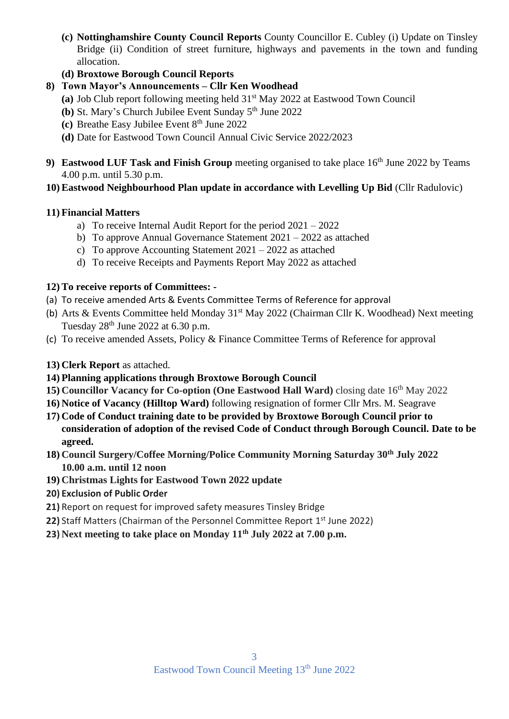- **(c) Nottinghamshire County Council Reports** County Councillor E. Cubley (i) Update on Tinsley Bridge (ii) Condition of street furniture, highways and pavements in the town and funding allocation.
- **(d) Broxtowe Borough Council Reports**
- **8) Town Mayor's Announcements – Cllr Ken Woodhead**
	- **(a)** Job Club report following meeting held 31st May 2022 at Eastwood Town Council
	- **(b)** St. Mary's Church Jubilee Event Sunday 5<sup>th</sup> June 2022
	- **(c)** Breathe Easy Jubilee Event 8<sup>th</sup> June 2022
	- **(d)** Date for Eastwood Town Council Annual Civic Service 2022/2023
- **9) Eastwood LUF Task and Finish Group** meeting organised to take place 16<sup>th</sup> June 2022 by Teams 4.00 p.m. until 5.30 p.m.
- **10) Eastwood Neighbourhood Plan update in accordance with Levelling Up Bid** (Cllr Radulovic)

# **11) Financial Matters**

- a) To receive Internal Audit Report for the period 2021 2022
- b) To approve Annual Governance Statement 2021 2022 as attached
- c) To approve Accounting Statement 2021 2022 as attached
- d) To receive Receipts and Payments Report May 2022 as attached

# **12) To receive reports of Committees: -**

- (a) To receive amended Arts & Events Committee Terms of Reference for approval
- (b) Arts & Events Committee held Monday 31<sup>st</sup> May 2022 (Chairman Cllr K. Woodhead) Next meeting Tuesday  $28<sup>th</sup>$  June 2022 at 6.30 p.m.
- (c) To receive amended Assets, Policy & Finance Committee Terms of Reference for approval

# **13) Clerk Report** as attached.

- **14) Planning applications through Broxtowe Borough Council**
- **15) Councillor Vacancy for Co-option (One Eastwood Hall Ward)** closing date 16<sup>th</sup> May 2022
- **16) Notice of Vacancy (Hilltop Ward)** following resignation of former Cllr Mrs. M. Seagrave
- **17) Code of Conduct training date to be provided by Broxtowe Borough Council prior to consideration of adoption of the revised Code of Conduct through Borough Council. Date to be agreed.**
- **18) Council Surgery/Coffee Morning/Police Community Morning Saturday 30th July 2022 10.00 a.m. until 12 noon**
- **19) Christmas Lights for Eastwood Town 2022 update**
- **20) Exclusion of Public Order**
- **21)** Report on request for improved safety measures Tinsley Bridge
- 22) Staff Matters (Chairman of the Personnel Committee Report 1<sup>st</sup> June 2022)
- **23) Next meeting to take place on Monday 11th July 2022 at 7.00 p.m.**